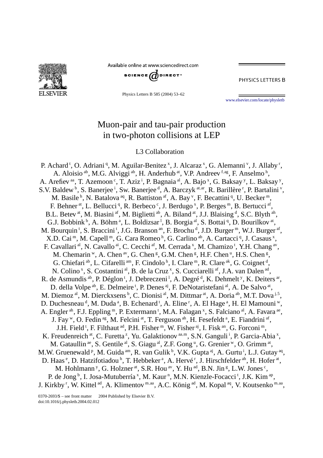

Available online at www.sciencedirect.com



PHYSICS LETTERS B

Physics Letters B 585 (2004) 53–62

[www.elsevier.com/locate/physletb](http://www.elsevier.com/locate/physletb)

# Muon-pair and tau-pair production in two-photon collisions at LEP

## L3 Collaboration

P. Achard<sup>t</sup>, O. Adriani<sup>q</sup>, M. Aguilar-Benitez<sup>x</sup>, J. Alcaraz<sup>x</sup>, G. Alemanni<sup>v</sup>, J. Allaby<sup>r</sup>, A. Aloisio<sup>ab</sup>, M.G. Alviggi<sup>ab</sup>, H. Anderhub<sup>at</sup>, V.P. Andreev<sup>f,ag</sup>, F. Anselmo<sup>h</sup>, A. Arefiev<sup>aa</sup>, T. Azemoon<sup>c</sup>, T. Aziz<sup>i</sup>, P. Bagnaia<sup>al</sup>, A. Bajo<sup>x</sup>, G. Baksay<sup>y</sup>, L. Baksay<sup>y</sup>, S.V. Baldew<sup>b</sup>, S. Banerjee<sup>i</sup>, Sw. Banerjee<sup>d</sup>, A. Barczyk<sup>at,ar</sup>, R. Barillère<sup>r</sup>, P. Bartalini<sup>v</sup>, M. Basile<sup>h</sup>, N. Batalova<sup>aq</sup>, R. Battiston<sup>af</sup>, A. Bay<sup>v</sup>, F. Becattini<sup>q</sup>, U. Becker<sup>m</sup>, F. Behner <sup>at</sup>, L. Bellucci<sup>q</sup>, R. Berbeco<sup>c</sup>, J. Berdugo<sup>x</sup>, P. Berges<sup>m</sup>, B. Bertucci<sup>af</sup>, B.L. Betev at, M. Biasini af, M. Biglietti ab, A. Biland at, J.J. Blaising d, S.C. Blyth ah, G.J. Bobbink<sup>b</sup>, A. Böhm<sup>a</sup>, L. Boldizsar<sup>1</sup>, B. Borgia<sup>al</sup>, S. Bottai<sup>q</sup>, D. Bourilkov<sup>at</sup>, M. Bourquin<sup>t</sup>, S. Braccini<sup>t</sup>, J.G. Branson<sup>an</sup>, F. Brochu<sup>d</sup>, J.D. Burger<sup>m</sup>, W.J. Burger<sup>af</sup>, X.D. Cai<sup>m</sup>, M. Capell<sup>m</sup>, G. Cara Romeo<sup>h</sup>, G. Carlino<sup>ab</sup>, A. Cartacci<sup>q</sup>, J. Casaus<sup>x</sup>, F. Cavallari <sup>al</sup>, N. Cavallo <sup>ai</sup>, C. Cecchi <sup>af</sup>, M. Cerrada <sup>x</sup>, M. Chamizo <sup>t</sup>, Y.H. Chang <sup>av</sup>, M. Chemarin  $w$ , A. Chen  $\alpha$ <sup>v</sup>, G. Chen  $\beta$ , G.M. Chen  $\beta$ , H.F. Chen  $\alpha$ , H.S. Chen  $\beta$ , G. Chiefari ab, L. Cifarelli am, F. Cindolo h, I. Clare m, R. Clare ak, G. Coignet d, N. Colino<sup>x</sup>, S. Costantini<sup>al</sup>, B. de la Cruz<sup>x</sup>, S. Cucciarelli<sup>af</sup>, J.A. van Dalen<sup>ad</sup>, R. de Asmundis <sup>ab</sup>, P. Déglon<sup>t</sup>, J. Debreczeni<sup>1</sup>, A. Degré<sup>d</sup>, K. Dehmelt<sup>y</sup>, K. Deiters<sup>ar</sup>, D. della Volpe <sup>ab</sup>, E. Delmeire <sup>t</sup>, P. Denes <sup>aj</sup>, F. DeNotaristefani <sup>al</sup>, A. De Salvo <sup>at</sup>, M. Diemoz <sup>al</sup>, M. Dierckxsens <sup>b</sup>, C. Dionisi <sup>al</sup>, M. Dittmar <sup>at</sup>, A. Doria <sup>ab</sup>, M.T. Dova <sup>j,5</sup>, D. Duchesneau<sup>d</sup>, M. Duda<sup>a</sup>, B. Echenard<sup>t</sup>, A. Eline<sup>r</sup>, A. El Hage<sup>a</sup>, H. El Mamouni<sup>w</sup>, A. Engler <sup>ah</sup>, F.J. Eppling <sup>m</sup>, P. Extermann<sup>t</sup>, M.A. Falagan<sup>x</sup>, S. Falciano <sup>al</sup>, A. Favara <sup>ae</sup>, J. Fay <sup>w</sup>, O. Fedin<sup>ag</sup>, M. Felcini<sup>at</sup>, T. Ferguson<sup>ah</sup>, H. Fesefeldt<sup>a</sup>, E. Fiandrini<sup>af</sup>, J.H. Field<sup>t</sup>, F. Filthaut <sup>ad</sup>, P.H. Fisher <sup>m</sup>, W. Fisher <sup>aj</sup>, I. Fisk <sup>an</sup>, G. Forconi <sup>m</sup>, K. Freudenreich <sup>at</sup>, C. Furetta<sup>z</sup>, Yu. Galaktionov aa,m, S.N. Ganguli<sup>i</sup>, P. Garcia-Abia<sup>x</sup>, M. Gataullin <sup>ae</sup>, S. Gentile <sup>al</sup>, S. Giagu <sup>al</sup>, Z.F. Gong <sup>u</sup>, G. Grenier <sup>w</sup>, O. Grimm <sup>at</sup>, M.W. Gruenewald <sup>p</sup>, M. Guida <sup>am</sup>, R. van Gulik <sup>b</sup>, V.K. Gupta <sup>aj</sup>, A. Gurtu <sup>i</sup>, L.J. Gutay <sup>aq</sup>, D. Haas<sup>e</sup>, D. Hatzifotiadou<sup>h</sup>, T. Hebbeker<sup>a</sup>, A. Hervé<sup>r</sup>, J. Hirschfelder<sup>ah</sup>, H. Hofer<sup>at</sup>, M. Hohlmann<sup>y</sup>, G. Holzner<sup>at</sup>, S.R. Hou<sup>av</sup>, Y. Hu<sup>ad</sup>, B.N. Jin<sup>g</sup>, L.W. Jones<sup>c</sup>, P. de Jong<sup>b</sup>, I. Josa-Mutuberría<sup>x</sup>, M. Kaur<sup>n</sup>, M.N. Kienzle-Focacci<sup>t</sup>, J.K. Kim<sup>ap</sup>, J. Kirkby <sup>r</sup> , W. Kittel ad, A. Klimentov <sup>m</sup>*,*aa, A.C. König ad, M. Kopal aq, V. Koutsenko <sup>m</sup>*,*aa,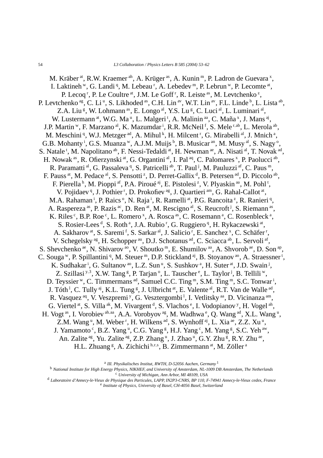M. Kräber<sup>at</sup>, R.W. Kraemer<sup>ah</sup>, A. Krüger<sup>as</sup>, A. Kunin <sup>m</sup>, P. Ladron de Guevara<sup>x</sup>, I. Laktineh <sup>w</sup>, G. Landi<sup>q</sup>, M. Lebeau<sup>r</sup>, A. Lebedev<sup>m</sup>, P. Lebrun <sup>w</sup>, P. Lecomte <sup>at</sup>, P. Lecoq<sup>r</sup>, P. Le Coultre <sup>at</sup>, J.M. Le Goff<sup>r</sup>, R. Leiste <sup>as</sup>, M. Levtchenko<sup>2</sup>, P. Levtchenko <sup>ag</sup>, C. Li<sup>u</sup>, S. Likhoded <sup>as</sup>, C.H. Lin <sup>av</sup>, W.T. Lin <sup>av</sup>, F.L. Linde <sup>b</sup>, L. Lista <sup>ab</sup>, Z.A. Liu<sup>g</sup>, W. Lohmann<sup>as</sup>, E. Longo<sup>al</sup>, Y.S. Lu<sup>g</sup>, C. Luci<sup>al</sup>, L. Luminari<sup>al</sup>, W. Lustermann<sup>at</sup>, W.G. Ma<sup>u</sup>, L. Malgeri<sup>t</sup>, A. Malinin<sup>aa</sup>, C. Maña<sup>x</sup>, J. Mans<sup>aj</sup>, J.P. Martin w, F. Marzano al, K. Mazumdari , R.R. McNeil <sup>f</sup> , S. Mele <sup>r</sup>*,*ab, L. Merola ab, M. Meschini<sup>q</sup>, W.J. Metzger<sup>ad</sup>, A. Mihul<sup>k</sup>, H. Milcent<sup>r</sup>, G. Mirabelli<sup>al</sup>, J. Mnich<sup>a</sup>, G.B. Mohanty<sup>i</sup>, G.S. Muanza <sup>w</sup>, A.J.M. Muijs <sup>b</sup>, B. Musicar <sup>an</sup>, M. Musy <sup>al</sup>, S. Nagy <sup>o</sup>, S. Natale<sup>t</sup>, M. Napolitano <sup>ab</sup>, F. Nessi-Tedaldi <sup>at</sup>, H. Newman <sup>ae</sup>, A. Nisati <sup>al</sup>, T. Novak <sup>ad</sup>, H. Nowak <sup>as</sup>, R. Ofierzynski <sup>at</sup>, G. Organtini <sup>al</sup>, I. Pal <sup>aq</sup>, C. Palomares <sup>x</sup>, P. Paolucci <sup>ab</sup>, R. Paramatti <sup>al</sup>, G. Passaleva <sup>q</sup>, S. Patricelli <sup>ab</sup>, T. Paul <sup>j</sup>, M. Pauluzzi <sup>af</sup>, C. Paus <sup>m</sup>, F. Pauss <sup>at</sup>, M. Pedace <sup>al</sup>, S. Pensotti<sup>z</sup>, D. Perret-Gallix <sup>d</sup>, B. Petersen <sup>ad</sup>, D. Piccolo <sup>ab</sup>, F. Pierella<sup>h</sup>, M. Pioppi<sup>af</sup>, P.A. Piroué<sup>aj</sup>, E. Pistolesi<sup>z</sup>, V. Plyaskin<sup>aa</sup>, M. Pohl<sup>t</sup>, V. Pojidaev<sup>q</sup>, J. Pothier<sup>r</sup>, D. Prokofiev<sup>ag</sup>, J. Quartieri<sup>am</sup>, G. Rahal-Callot<sup>at</sup>, M.A. Rahaman<sup>i</sup>, P. Raics<sup>o</sup>, N. Raja<sup>i</sup>, R. Ramelli<sup>at</sup>, P.G. Rancoita<sup>z</sup>, R. Ranieri<sup>q</sup>, A. Raspereza<sup>as</sup>, P. Razis<sup>ac</sup>, D. Ren<sup>at</sup>, M. Rescigno<sup>al</sup>, S. Reucroft<sup>j</sup>, S. Riemann<sup>as</sup>, K. Riles<sup>c</sup>, B.P. Roe<sup>c</sup>, L. Romero<sup>x</sup>, A. Rosca<sup>as</sup>, C. Rosemann<sup>a</sup>, C. Rosenbleck<sup>a</sup>, S. Rosier-Lees<sup>d</sup>, S. Roth<sup>a</sup>, J.A. Rubio<sup>r</sup>, G. Ruggiero<sup>q</sup>, H. Rykaczewski<sup>at</sup>, A. Sakharov<sup>at</sup>, S. Saremi<sup>f</sup>, S. Sarkar<sup>al</sup>, J. Salicio<sup>r</sup>, E. Sanchez<sup>x</sup>, C. Schäfer<sup>r</sup>, V. Schegelsky <sup>ag</sup>, H. Schopper <sup>au</sup>, D.J. Schotanus <sup>ad</sup>, C. Sciacca <sup>ab</sup>, L. Servoli<sup>af</sup>, S. Shevchenko ae, N. Shivarov ao, V. Shoutko m, E. Shumilov aa, A. Shvorob ae, D. Son ap, C. Souga W, P. Spillantini<sup>q</sup>, M. Steuer m, D.P. Stickland aj, B. Stoyanov ao, A. Straessner<sup>t</sup>, K. Sudhakar<sup>i</sup>, G. Sultanov<sup>ao</sup>, L.Z. Sun<sup>u</sup>, S. Sushkov<sup>a</sup>, H. Suter<sup>at</sup>, J.D. Swain<sup>j</sup>, Z. Szillasi <sup>y,3</sup>, X.W. Tang <sup>g</sup>, P. Tarjan <sup>o</sup>, L. Tauscher <sup>e</sup>, L. Taylor <sup>j</sup>, B. Tellili <sup>w</sup>, D. Teyssier W, C. Timmermans <sup>ad</sup>, Samuel C.C. Ting m, S.M. Ting m, S.C. Tonwar<sup>i</sup>, J. Tóth<sup>1</sup>, C. Tully<sup>aj</sup>, K.L. Tung<sup>g</sup>, J. Ulbricht<sup>at</sup>, E. Valente<sup>al</sup>, R.T. Van de Walle<sup>ad</sup>, R. Vasquez <sup>aq</sup>, V. Veszpremi <sup>y</sup>, G. Vesztergombi <sup>1</sup>, I. Vetlitsky <sup>aa</sup>, D. Vicinanza <sup>am</sup>, G. Viertel at, S. Villa ak, M. Vivargent d, S. Vlachos e, I. Vodopianov <sup>y</sup>, H. Vogel ah, H. Vogt<sup>as</sup>, I. Vorobiev <sup>ah,aa</sup>, A.A. Vorobyov <sup>ag</sup>, M. Wadhwa <sup>e</sup>, Q. Wang <sup>ad</sup>, X.L. Wang <sup>u</sup>, Z.M. Wang  $\mathfrak{u}$ , M. Weber <sup>r</sup>, H. Wilkens <sup>ad</sup>, S. Wynhoff <sup>aj</sup>, L. Xia <sup>ae</sup>, Z.Z. Xu  $\mathfrak{u}$ , J. Yamamoto<sup>c</sup>, B.Z. Yang<sup>u</sup>, C.G. Yang<sup>g</sup>, H.J. Yang<sup>c</sup>, M. Yang<sup>g</sup>, S.C. Yeh<sup>aw</sup>, An. Zalite<sup>ag</sup>, Yu. Zalite<sup>ag</sup>, Z.P. Zhang<sup>u</sup>, J. Zhao<sup>u</sup>, G.Y. Zhu<sup>g</sup>, R.Y. Zhu<sup>ae</sup>, H.L. Zhuang <sup>g</sup>, A. Zichichi h,r,s, B. Zimmermann <sup>at</sup>, M. Zöller <sup>a</sup>

<sup>a</sup> *III. Physikalisches Institut, RWTH, D-52056 Aachen, Germany* <sup>1</sup>

<sup>b</sup> *National Institute for High Energy Physics, NIKHEF, and University of Amsterdam, NL-1009 DB Amsterdam, The Netherlands* <sup>c</sup> *University of Michigan, Ann Arbor, MI 48109, USA*

<sup>d</sup> *Laboratoire d'Annecy-le-Vieux de Physique des Particules, LAPP, IN2P3-CNRS, BP 110, F-74941 Annecy-le-Vieux cedex, France* <sup>e</sup> *Institute of Physics, University of Basel, CH-4056 Basel, Switzerland*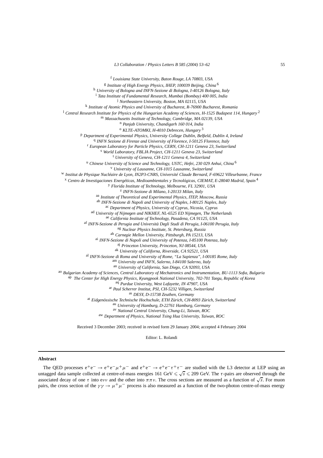*L3 Collaboration / Physics Letters B 585 (2004) 53–62* 55

<sup>f</sup> *Louisiana State University, Baton Rouge, LA 70803, USA* <sup>g</sup> *Institute of High Energy Physics, IHEP, 100039 Beijing, China* <sup>6</sup> <sup>h</sup> *University of Bologna and INFN-Sezione di Bologna, I-40126 Bologna, Italy* <sup>i</sup> *Tata Institute of Fundamental Research, Mumbai (Bombay) 400 005, India* <sup>j</sup> *Northeastern University, Boston, MA 02115, USA* <sup>k</sup> *Institute of Atomic Physics and University of Bucharest, R-76900 Bucharest, Romania* <sup>l</sup> *Central Research Institute for Physics of the Hungarian Academy of Sciences, H-1525 Budapest 114, Hungary* <sup>2</sup> <sup>m</sup> *Massachusetts Institute of Technology, Cambridge, MA 02139, USA* <sup>n</sup> *Panjab University, Chandigarh 160 014, India* <sup>o</sup> *KLTE-ATOMKI, H-4010 Debrecen, Hungary* <sup>3</sup> <sup>p</sup> *Department of Experimental Physics, University College Dublin, Belfield, Dublin 4, Ireland* <sup>q</sup> *INFN Sezione di Firenze and University of Florence, I-50125 Florence, Italy* <sup>r</sup> *European Laboratory for Particle Physics, CERN, CH-1211 Geneva 23, Switzerland* <sup>s</sup> *World Laboratory, FBLJA Project, CH-1211 Geneva 23, Switzerland* <sup>t</sup> *University of Geneva, CH-1211 Geneva 4, Switzerland* <sup>u</sup> *Chinese University of Science and Technology, USTC, Hefei, 230 029 Anhui, China* <sup>6</sup> <sup>v</sup> *University of Lausanne, CH-1015 Lausanne, Switzerland* <sup>w</sup> *Institut de Physique Nucléaire de Lyon, IN2P3-CNRS, Université Claude Bernard, F-69622 Villeurbanne, France* <sup>x</sup> *Centro de Investigaciones Energéticas, Medioambientales y Tecnológicas, CIEMAT, E-28040 Madrid, Spain* <sup>4</sup> <sup>y</sup> *Florida Institute of Technology, Melbourne, FL 32901, USA* <sup>z</sup> *INFN-Sezione di Milano, I-20133 Milan, Italy* aa *Institute of Theoretical and Experimental Physics, ITEP, Moscow, Russia* ab *INFN-Sezione di Napoli and University of Naples, I-80125 Naples, Italy* ac *Department of Physics, University of Cyprus, Nicosia, Cyprus* ad *University of Nijmegen and NIKHEF, NL-6525 ED Nijmegen, The Netherlands* ae *California Institute of Technology, Pasadena, CA 91125, USA* af *INFN-Sezione di Perugia and Università Degli Studi di Perugia, I-06100 Perugia, Italy* ag *Nuclear Physics Institute, St. Petersburg, Russia* ah *Carnegie Mellon University, Pittsburgh, PA 15213, USA* ai *INFN-Sezione di Napoli and University of Potenza, I-85100 Potenza, Italy* aj *Princeton University, Princeton, NJ 08544, USA* ak *University of Californa, Riverside, CA 92521, USA* al *INFN-Sezione di Roma and University of Rome, "La Sapienza", I-00185 Rome, Italy* am *University and INFN, Salerno, I-84100 Salerno, Italy* an *University of California, San Diego, CA 92093, USA* ao *Bulgarian Academy of Sciences, Central Laboratory of Mechatronics and Instrumentation, BU-1113 Sofia, Bulgaria* ap *The Center for High Energy Physics, Kyungpook National University, 702-701 Taegu, Republic of Korea* <sup>ar</sup> Paul Scherrer Institut, PSI, CH-5232 Villigen, Switzerland<br><sup>as</sup> DESY, D-15738 Zeuthen, Germany<br><sup>at</sup> Eidgenössische Technische Hochschule, ETH Zürich, CH-8093 Zürich, Switzerland au *University of Hamburg, D-22761 Hamburg, Germany* av *National Central University, Chung-Li, Taiwan, ROC* aw *Department of Physics, National Tsing Hua University, Taiwan, ROC* Received 3 December 2003; received in revised form 29 January 2004; accepted 4 February 2004

Editor: L. Rolandi

#### **Abstract**

The QED processes  $e^+e^- \rightarrow e^+e^-\mu^+\mu^-$  and  $e^+e^- \rightarrow e^+e^-\tau^+\tau^-$  are studied with the L3 detector at LEP using an untagged data sample collected at centre-of-mass energies 161 GeV  $\leq \sqrt{s} \leq 209$  GeV. The *τ*-pairs are observed through the associated decay of one  $\tau$  into e*νν* and the other into  $\pi \pi \nu$ . The cross sections are measured as a function of  $\sqrt{s}$ . For muon pairs, the cross section of the  $\gamma \gamma \to \mu^+ \mu^-$  process is also measured as a function of the two-photon centre-of-mass energy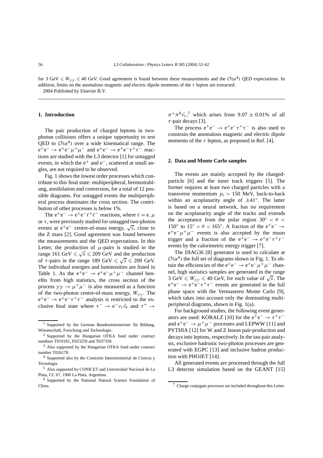for 3 GeV  $\leq W_{\gamma\gamma} \leq 40$  GeV. Good agreement is found between these measurements and the  $O(\alpha^4)$  QED expectations. In addition, limits on the anomalous magnetic and electric dipole moments of the *τ* lepton are extracted. 2004 Published by Elsevier B.V.

#### **1. Introduction**

The pair production of charged leptons in twophoton collisions offers a unique opportunity to test QED to  $\mathcal{O}(\alpha^4)$  over a wide kinematical range. The  $e^+e^- \rightarrow e^+e^-\mu^+\mu^-$  and  $e^+e^- \rightarrow e^+e^-\tau^+\tau^-$  reactions are studied with the L3 detector [1] for untagged events, in which the  $e^+$  and  $e^-$ , scattered at small angles, are not required to be observed.

Fig. 1 shows the lowest order processes which contribute to this final state: multiperipheral, bremsstrahlung, annihilation and conversion, for a total of 12 possible diagrams. For untagged events the multiperipheral process dominates the cross section. The contribution of other processes is below 1%.

The  $e^+e^- \rightarrow e^+e^- \ell^+ \ell^-$  reactions, where  $\ell = e, \mu$ or *τ* , were previously studied for untagged two-photon events at  $e^+e^-$  centre-of-mass energy,  $\sqrt{s}$ , close to the Z mass [2]. Good agreement was found between the measurements and the QED expectations. In this Letter, the production of  $\mu$ -pairs is studied in the range 161 GeV  $\leq \sqrt{s} \leq 209$  GeV and the production of  $\tau$ -pairs in the range 189 GeV  $\leq \sqrt{s} \leq 209$  GeV. The individual energies and luminosities are listed in Table 1. As the  $e^+e^- \rightarrow e^+e^-\mu^+\mu^-$  channel benefits from high statistics, the cross section of the process  $\gamma \gamma \rightarrow \mu^+ \mu^-$  is also measured as a function of the two-photon centre-of-mass energy,  $W_{\gamma\gamma}$ . The  $e^+e^- \rightarrow e^+e^-\tau^+\tau^-$  analysis is restricted to the exclusive final state where  $\tau^- \to e^- \nu_\tau \bar{\nu_e}$  and  $\tau^+ \to$ 

 $\pi^{+}\pi^{0}\bar{v_{\tau}}$ ,<sup>7</sup> which arises from 9.07  $\pm$  0.01% of all *τ* -pair decays [3].

The process  $e^+e^- \rightarrow e^+e^- \tau^+ \tau^-$  is also used to constrain the anomalous magnetic and electric dipole moments of the  $\tau$  lepton, as proposed in Ref. [4].

#### **2. Data and Monte Carlo samples**

The events are mainly accepted by the chargedparticle [6] and the inner track triggers [5]. The former requires at least two charged particles with a transverse momentum  $p_t > 150$  MeV, back-to-back within an acoplanarity angle of ±41◦. The latter is based on a neural network, has no requirement on the acoplanarity angle of the tracks and extends the acceptance from the polar region  $30° < \theta <$ 150° to 15°  $< \theta < 165$ °. A fraction of the e<sup>+</sup>e<sup>-</sup>  $\rightarrow$  $e^+e^-\mu^+\mu^-$  events is also accepted by the muon trigger and a fraction of the  $e^+e^- \rightarrow e^+e^- \tau^+ \tau^$ events by the calorimetric energy trigger [7].

The DIAG36 [8] generator is used to calculate at  $\mathcal{O}(\alpha^4)$  the full set of diagrams shown in Fig. 1. To obtain the efficiencies of the  $e^+e^- \rightarrow e^+e^-\mu^+\mu^-$  channel, high statistics samples are generated in the range 3 GeV  $\leq W_{\gamma\gamma} \leq 40$  GeV, for each value of  $\sqrt{s}$ . The  $e^+e^- \rightarrow e^+e^-\tau^+\tau^-$  events are generated in the full phase space with the Vermaseren Monte Carlo [9], which takes into account only the dominating multiperipheral diagrams, shown in Fig. 1(a).

For background studies, the following event generators are used: KORALZ [10] for the  $e^+e^- \rightarrow \tau^+\tau^$ and  $e^+e^- \rightarrow \mu^+\mu^-$  processes and LEPWW [11] and PYTHIA [12] for W and Z boson pair-production and decays into leptons, respectively. In the tau-pair analysis, exclusive hadronic two-photon processes are generated with EGPC [13] and inclusive hadron production with PHOJET [14].

All generated events are processed through the full L3 detector simulation based on the GEANT [15]

 $1$  Supported by the German Bundesministerium für Bildung, Wissenschaft, Forschung und Technologie.

<sup>&</sup>lt;sup>2</sup> Supported by the Hungarian OTKA fund under contract numbers T019181, F023259 and T037350.

<sup>&</sup>lt;sup>3</sup> Also supported by the Hungarian OTKA fund under contract number T026178.

<sup>&</sup>lt;sup>4</sup> Supported also by the Comisión Interministerial de Ciencia y Tecnología.

<sup>5</sup> Also supported by CONICET and Universidad Nacional de La Plata, CC 67, 1900 La Plata, Argentina.

<sup>6</sup> Supported by the National Natural Science Foundation of China.

<sup>7</sup> Charge conjugate processes are included throughout this Letter.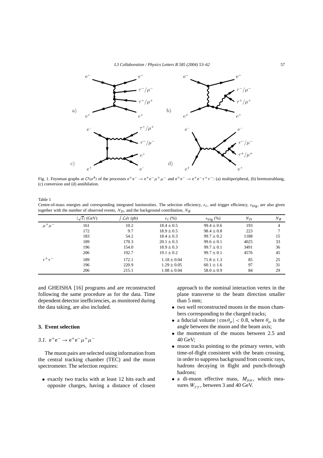

Fig. 1. Feynman graphs at  $\mathcal{O}(\alpha^4)$  of the processes  $e^+e^- \rightarrow e^+e^-\mu^+\mu^-$  and  $e^+e^- \rightarrow e^+e^-\tau^+\tau^-$ : (a) multiperipheral, (b) bremsstrahlung, (c) conversion and (d) annihilation.

Table 1

Centre-of-mass energies and corresponding integrated luminosities. The selection efficiency,  $\epsilon_{\ell}$ , and trigger efficiency,  $\epsilon_{\text{trig}}$ , are also given together with the number of observed events,  $N_D$ , and the background contribution,  $N_B$ 

|                                | $\langle \sqrt{s} \rangle$ (GeV) | $\mathcal{L}dt$ (pb) | $\epsilon_{\ell}$ (%) | $\epsilon_{\rm trig}$ (%) | $N_D$ | $N_B$ |
|--------------------------------|----------------------------------|----------------------|-----------------------|---------------------------|-------|-------|
| $\mu^{\text{-}}\mu^{\text{-}}$ | 161                              | 10.2                 | $18.4 \pm 0.5$        | $99.4 \pm 0.6$            | 193   | 4     |
|                                | 172                              | 9.7                  | $18.9 \pm 0.5$        | $98.4 \pm 0.8$            | 223   |       |
|                                | 183                              | 54.2                 | $18.4 \pm 0.3$        | $99.7 \pm 0.2$            | 1188  | 15    |
|                                | 189                              | 170.3                | $20.1 \pm 0.3$        | $99.6 \pm 0.1$            | 4025  | 33    |
|                                | 196                              | 154.0                | $18.9 \pm 0.3$        | $99.7 \pm 0.1$            | 3491  | 36    |
|                                | 206                              | 192.7                | $19.1 \pm 0.2$        | $99.7 \pm 0.1$            | 4576  | 45    |
| $\tau^+\tau^-$                 | 189                              | 172.1                | $1.18 \pm 0.04$       | $71.8 \pm 1.3$            | 85    | 25    |
|                                | 196                              | 220.9                | $1.29 \pm 0.05$       | $60.1 \pm 1.6$            | 97    | 31    |
|                                | 206                              | 215.1                | $1.08 \pm 0.04$       | $58.0 \pm 0.9$            | 84    | 29    |

and GHEISHA [16] programs and are reconstructed following the same procedure as for the data. Time dependent detector inefficiencies, as monitored during the data taking, are also included.

### **3. Event selection**

*3.1.*  $e^+e^-$  →  $e^+e^ \mu^+\mu^-$ 

The muon pairs are selected using information from the central tracking chamber (TEC) and the muon spectrometer. The selection requires:

• exactly two tracks with at least 12 hits each and opposite charges, having a distance of closest

approach to the nominal interaction vertex in the plane transverse to the beam direction smaller than 5 mm;

- two well reconstructed muons in the muon chambers corresponding to the charged tracks;
- a fiducial volume  $|\cos \theta_{\mu}| < 0.8$ , where  $\theta_{\mu}$  is the angle between the muon and the beam axis;
- the momentum of the muons between 2.5 and 40 GeV;
- muon tracks pointing to the primary vertex, with time-of-flight consistent with the beam crossing, in order to suppress background from cosmic rays, hadrons decaying in flight and punch-through hadrons;
- a di-muon effective mass,  $M_{\mu\mu}$ , which measures  $W_{\gamma\gamma}$ , between 3 and 40 GeV.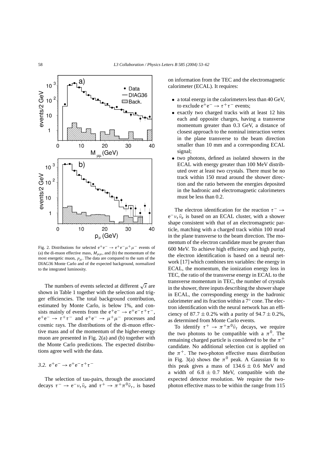

Fig. 2. Distributions for selected  $e^+e^- \rightarrow e^+e^- \mu^+ \mu^-$  events of (a) the di-muon effective mass,  $M_{\mu\mu}$ , and (b) the momentum of the most energetic muon,  $p_{\mu}$ . The data are compared to the sum of the DIAG36 Monte Carlo and of the expected background, normalized to the integrated luminosity.

The numbers of events selected at different <sup>√</sup>*<sup>s</sup>* are shown in Table 1 together with the selection and trigger efficiencies. The total background contribution, estimated by Monte Carlo, is below 1%, and consists mainly of events from the  $e^+e^- \rightarrow e^+e^- \tau^+ \tau^-$ ,  $e^+e^- \rightarrow \tau^+\tau^-$  and  $e^+e^- \rightarrow \mu^+\mu^-$  processes and cosmic rays. The distributions of the di-muon effective mass and of the momentum of the higher-energy muon are presented in Fig. 2(a) and (b) together with the Monte Carlo predictions. The expected distributions agree well with the data.

$$
3.2. e^+e^- \rightarrow e^+e^- \tau^+ \tau^-
$$

The selection of tau-pairs, through the associated decays  $\tau^- \to e^- \nu_\tau \bar{\nu}_e$  and  $\tau^+ \to \pi^+ \pi^0 \bar{\nu}_\tau$ , is based on information from the TEC and the electromagnetic calorimeter (ECAL). It requires:

- a total energy in the calorimeters less than 40 GeV, to exclude  $e^+e^- \rightarrow \tau^+\tau^-$  events:
- exactly two charged tracks with at least 12 hits each and opposite charges, having a transverse momentum greater than 0.3 GeV, a distance of closest approach to the nominal interaction vertex in the plane transverse to the beam direction smaller than 10 mm and a corresponding ECAL signal;
- two photons, defined as isolated showers in the ECAL with energy greater than 100 MeV distributed over at least two crystals. There must be no track within 150 mrad around the shower direction and the ratio between the energies deposited in the hadronic and electromagnetic calorimeters must be less than 0.2.

The electron identification for the reaction  $\tau^- \rightarrow$  $e^- v_\tau \bar{v}_e$  is based on an ECAL cluster, with a shower shape consistent with that of an electromagnetic particle, matching with a charged track within 100 mrad in the plane transverse to the beam direction. The momentum of the electron candidate must be greater than 600 MeV. To achieve high efficiency and high purity, the electron identification is based on a neural network [17] which combines ten variables: the energy in ECAL, the momentum, the ionization energy loss in TEC, the ratio of the transverse energy in ECAL to the transverse momentum in TEC, the number of crystals in the shower, three inputs describing the shower shape in ECAL, the corresponding energy in the hadronic calorimeter and its fraction within a 7◦ cone. The electron identification with the neural network has an efficiency of  $87.7 \pm 0.2$ % with a purity of  $94.7 \pm 0.2$ %, as determined from Monte Carlo events.

To identify  $\tau^+ \to \pi^+ \pi^0 \bar{\nu}_{\tau}$  decays, we require the two photons to be compatible with a  $\pi^{0}$ . The remaining charged particle is considered to be the  $\pi^+$ candidate. No additional selection cut is applied on the  $\pi^{+}$ . The two-photon effective mass distribution in Fig. 3(a) shows the  $\pi^{0}$  peak. A Gaussian fit to this peak gives a mass of  $134.6 \pm 0.6$  MeV and a width of  $6.8 \pm 0.7$  MeV, compatible with the expected detector resolution. We require the twophoton effective mass to be within the range from 115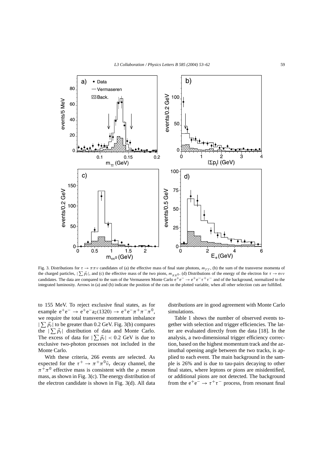

Fig. 3. Distributions for  $\tau \to \pi \pi \nu$  candidates of (a) the effective mass of final state photons,  $m_{\gamma\gamma}$ , (b) the sum of the transverse momenta of the charged particles,  $|\sum \vec{p}_t|$ , and (c) the effective mass of the two pions,  $m_{\pi\pi}$ <sub>0</sub>. (d) Distributions of the energy of the electron for  $\tau \to e \nu \nu$ candidates. The data are compared to the sum of the Vermaseren Monte Carlo e+e<sup>−</sup> → e+e−*τ*+*τ*<sup>−</sup> and of the background, normalized to the integrated luminosity. Arrows in (a) and (b) indicate the position of the cuts on the plotted variable, when all other selection cuts are fulfilled.

to 155 MeV. To reject exclusive final states, as for example  $e^+e^-$  →  $e^+e^-a_2(1320)$  →  $e^+e^-\pi^+\pi^-\pi^0$ , we require the total transverse momentum imbalance  $|\sum \vec{p}_t|$  to be greater than 0.2 GeV. Fig. 3(b) compares the  $|\sum \vec{p}_t|$  distribution of data and Monte Carlo. The excess of data for  $|\sum \vec{p}_t| < 0.2$  GeV is due to exclusive two-photon processes not included in the Monte Carlo.

With these criteria, 266 events are selected. As expected for the  $\tau^+ \to \pi^+ \pi^0 \bar{\nu}_{\tau}$  decay channel, the  $\pi^{+}\pi^{0}$  effective mass is consistent with the *ρ* meson mass, as shown in Fig. 3(c). The energy distribution of the electron candidate is shown in Fig. 3(d). All data

distributions are in good agreement with Monte Carlo simulations.

Table 1 shows the number of observed events together with selection and trigger efficiencies. The latter are evaluated directly from the data [18]. In the analysis, a two-dimensional trigger efficiency correction, based on the highest momentum track and the azimuthal opening angle between the two tracks, is applied to each event. The main background in the sample is 26% and is due to tau-pairs decaying to other final states, where leptons or pions are misidentified, or additional pions are not detected. The background from the  $e^+e^- \rightarrow \tau^+\tau^-$  process, from resonant final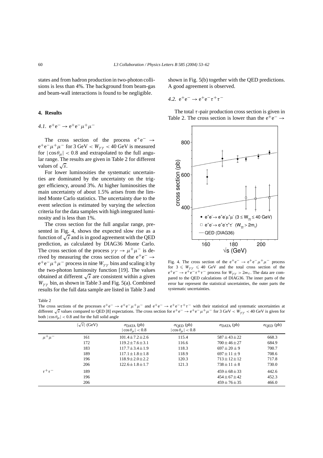states and from hadron production in two-photon collisions is less than 4%. The background from beam-gas and beam-wall interactions is found to be negligible.

## **4. Results**

*4.1.*  $e^+e^-$  →  $e^+e^ \mu^+\mu^-$ 

The cross section of the process  $e^+e^- \rightarrow$  $e^+e^-\mu^+\mu^-$  for 3 GeV <  $W_{\gamma\gamma}$  < 40 GeV is measured for  $|\cos \theta_u|$  < 0.8 and extrapolated to the full angular range. The results are given in Table 2 for different values of  $\sqrt{s}$ .

For lower luminosities the systematic uncertainties are dominated by the uncertainty on the trigger efficiency, around 3%. At higher luminosities the main uncertainty of about 1.5% arises from the limited Monte Carlo statistics. The uncertainty due to the event selection is estimated by varying the selection criteria for the data samples with high integrated luminosity and is less than 1%.

The cross section for the full angular range, presented in Fig. 4, shows the expected slow rise as a function of  $\sqrt{s}$  and is in good agreement with the QED prediction, as calculated by DIAG36 Monte Carlo. The cross section of the process  $\gamma \gamma \rightarrow \mu^+ \mu^-$  is derived by measuring the cross section of the  $e^+e^- \rightarrow$  $e^+e^-\mu^+\mu^-$  process in nine  $W_{\gamma\gamma}$  bins and scaling it by the two-photon luminosity function [19]. The values obtained at different  $\sqrt{s}$  are consistent within a given  $W_{\gamma\gamma}$  bin, as shown in Table 3 and Fig. 5(a). Combined results for the full data sample are listed in Table 3 and

Table 2

The cross sections of the processes  $e^+e^- \rightarrow e^+e^-\mu^+\mu^-$  and  $e^+e^- \rightarrow e^+e^-\tau^+\tau^-$  with their statistical and systematic uncertainties at different  $\sqrt{s}$  values compared to QED [8] expectations. The cross section for  $e^+e^- \rightarrow e^+e^-\mu^+\mu^-$  for 3 GeV  $\lt W_{\gamma\gamma}$   $\lt 40$  GeV is given for both  $|\cos \theta_{\mu}| < 0.8$  and for the full solid angle

systematic uncertainties.

|                | $\langle \sqrt{s} \rangle$ (GeV) | $\sigma_{\text{DATA}}$ (pb) | $\sigma$ <sub>OED</sub> (pb) | $\sigma_{\text{DATA}}$ (pb) | $\sigma$ <sub>QED</sub> (pb) |
|----------------|----------------------------------|-----------------------------|------------------------------|-----------------------------|------------------------------|
|                |                                  | $ \cos \theta_{\mu}  < 0.8$ | $ \cos \theta_{\mu}  < 0.8$  |                             |                              |
| $\mu^+\mu^-$   | 161                              | $101.4 \pm 7.2 \pm 2.6$     | 115.4                        | $587 \pm 43 \pm 22$         | 668.3                        |
|                | 172                              | $119.2 \pm 7.6 \pm 3.1$     | 116.6                        | $700 \pm 46 \pm 27$         | 684.9                        |
|                | 183                              | $117.7 \pm 3.4 \pm 1.9$     | 118.3                        | $697 \pm 20 \pm 9$          | 700.7                        |
|                | 189                              | $117.1 \pm 1.8 \pm 1.8$     | 118.9                        | $697 \pm 11 \pm 9$          | 708.6                        |
|                | 196                              | $118.9 + 2.0 + 2.2$         | 120.3                        | $713 + 12 + 12$             | 717.8                        |
|                | 206                              | $122.6 \pm 1.8 \pm 1.7$     | 121.3                        | $738 \pm 11 \pm 8$          | 730.0                        |
| $\tau^+\tau^-$ | 189                              |                             |                              | $459 \pm 68 \pm 33$         | 442.6                        |
|                | 196                              |                             |                              | $454 + 67 + 42$             | 452.3                        |
|                | 206                              |                             |                              | $459 \pm 76 \pm 35$         | 466.0                        |

shown in Fig. 5(b) together with the QED predictions. A good agreement is observed.

$$
4.2. e^+e^- \rightarrow e^+e^- \tau^+ \tau^-
$$

The total  $\tau$ -pair production cross section is given in Table 2. The cross section is lower than the  $e^+e^- \rightarrow$ 



Fig. 4. The cross section of the  $e^+e^- \rightarrow e^+e^-\mu^+\mu^-$  process for  $3 \leqslant W_{\gamma\gamma} \leqslant 40$  GeV and the total cross section of the  $e^+e^- \rightarrow e^+e^-\tau^+\tau^-$  process for  $W_{\gamma\gamma} > 2m_\tau$ . The data are compared to the QED calculations of DIAG36. The inner parts of the error bar represent the statistical uncertainties, the outer parts the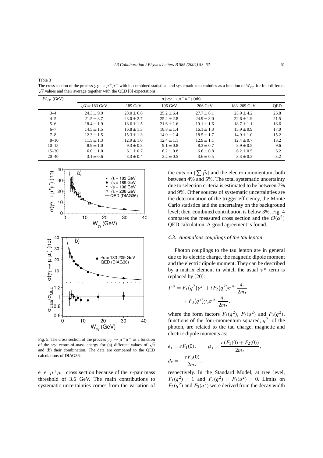Table 3

The cross section of the process  $\gamma \gamma \rightarrow \mu^+ \mu^-$  with its combined statistical and systematic uncertainties as a function of  $W_{\gamma \gamma}$  for four different <sup>√</sup>*<sup>s</sup>* values and their average together with the QED [8] expectations

| $W_{\gamma\gamma}$ (GeV) | $\sigma(\gamma\gamma \to \mu^+\mu^-)$ (nb) |                |                   |                |                 |            |  |
|--------------------------|--------------------------------------------|----------------|-------------------|----------------|-----------------|------------|--|
|                          | $\sqrt{s} = 183 \text{ GeV}$               | $189$ GeV      | $196 \text{ GeV}$ | $206$ GeV      | $183 - 209$ GeV | <b>OED</b> |  |
| $3 - 4$                  | $24.3 + 9.9$                               | $28.0 + 6.6$   | $25.2 + 6.4$      | $27.7 + 6.1$   | $25.9 + 4.2$    | 26.8       |  |
| $4 - 5$                  | $21.5 \pm 3.7$                             | $23.0 \pm 2.7$ | $25.2 \pm 2.8$    | $24.9 \pm 3.0$ | $22.6 \pm 1.9$  | 21.5       |  |
| $5 - 6$                  | $18.4 \pm 1.9$                             | $18.6 \pm 1.5$ | $21.6 \pm 1.6$    | $19.1 \pm 1.6$ | $18.7 \pm 1.1$  | 18.6       |  |
| $6 - 7$                  | $14.5 \pm 1.5$                             | $16.8 \pm 1.3$ | $18.8 \pm 1.4$    | $16.1 \pm 1.3$ | $15.9 \pm 0.9$  | 17.0       |  |
| $7 - 8$                  | $12.3 \pm 1.5$                             | $15.3 \pm 1.3$ | $14.9 \pm 1.4$    | $18.5 \pm 1.7$ | $14.9 \pm 1.0$  | 15.2       |  |
| $8 - 10$                 | $11.5 \pm 1.3$                             | $12.9 \pm 1.0$ | $12.4 \pm 1.1$    | $12.9 \pm 1.1$ | $12.4 \pm 0.7$  | 13.2       |  |
| $10 - 15$                | $8.9 \pm 1.0$                              | $9.3 \pm 0.8$  | $9.1 \pm 0.8$     | $8.3 \pm 0.7$  | $8.9 \pm 0.5$   | 9.6        |  |
| $15 - 20$                | $6.0 \pm 1.0$                              | $6.1 \pm 0.7$  | $6.2 \pm 0.8$     | $6.6 \pm 0.8$  | $6.2 \pm 0.5$   | 6.2        |  |
| $20 - 40$                | $3.1 \pm 0.6$                              | $3.3 \pm 0.4$  | $3.2 \pm 0.5$     | $3.6 \pm 0.5$  | $3.3 \pm 0.3$   | 3.2        |  |



Fig. 5. The cross section of the process  $\gamma \gamma \rightarrow \mu^+ \mu^-$  as a function of the *γ γ* centre-of-mass energy for (a) different values of <sup>√</sup>*<sup>s</sup>* and (b) their combination. The data are compared to the QED calculations of DIAG36.

 $e^+e^-\mu^+\mu^-$  cross section because of the *τ*-pair mass threshold of 3.6 GeV. The main contributions to systematic uncertainties comes from the variation of

the cuts on  $|\sum \vec{p}_t|$  and the electron momentum, both between 4% and 5%. The total systematic uncertainty due to selection criteria is estimated to be between 7% and 9%. Other sources of systematic uncertainties are the determination of the trigger efficiency, the Monte Carlo statistics and the uncertainty on the background level; their combined contribution is below 3%. Fig. 4 compares the measured cross section and the  $\mathcal{O}(\alpha^4)$ QED calculation. A good agreement is found.

#### *4.3. Anomalous couplings of the tau lepton*

Photon couplings to the tau lepton are in general due to its electric charge, the magnetic dipole moment and the electric dipole moment. They can be described by a matrix element in which the usual  $\gamma^{\mu}$  term is replaced by [20]:

$$
\Gamma^{\mu} = F_1(q^2)\gamma^{\mu} + iF_2(q^2)\sigma^{\mu\nu}\frac{q_{\nu}}{2m_{\tau}}
$$

$$
+ F_3(q^2)\gamma_5\sigma^{\mu\nu}\frac{q_{\nu}}{2m_{\tau}},
$$

where the form factors  $F_1(q^2)$ ,  $F_2(q^2)$  and  $F_3(q^2)$ , functions of the four-momentum squared,  $q^2$ , of the photon, are related to the tau charge, magnetic and electric dipole moments as:

$$
e_{\tau} = e F_1(0), \qquad \mu_{\tau} = \frac{e(F_1(0) + F_2(0))}{2m_{\tau}},
$$

$$
d_{\tau} = -\frac{e F_3(0)}{2m_{\tau}},
$$

respectively. In the Standard Model, at tree level,  $F_1(q^2) = 1$  and  $F_2(q^2) = F_3(q^2) = 0$ . Limits on  $F_2(q^2)$  and  $F_3(q^2)$  were derived from the decay width